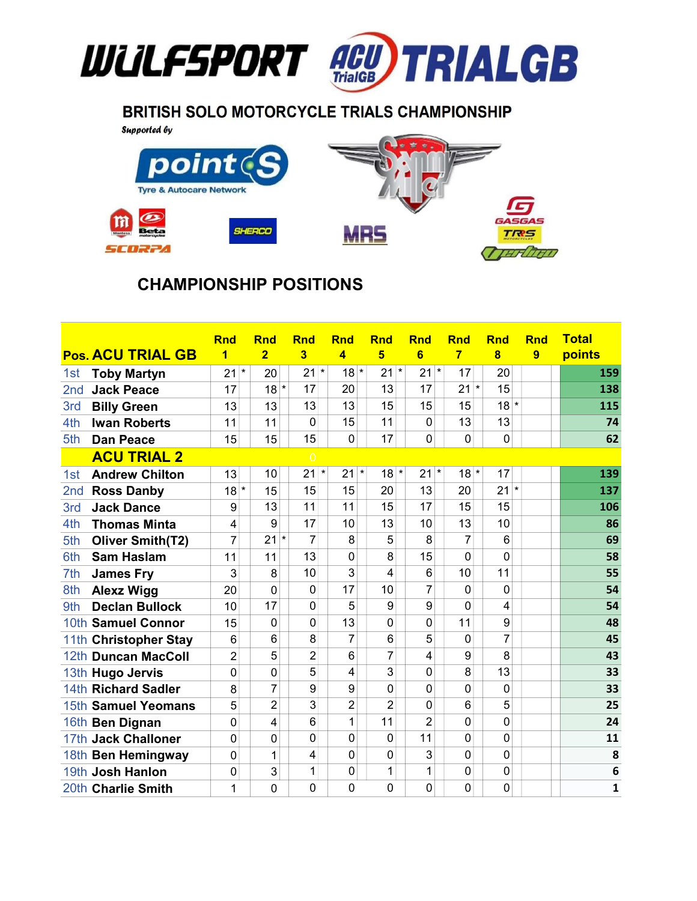

## **BRITISH SOLO MOTORCYCLE TRIALS CHAMPIONSHIP**

**Supported by** 



## CHAMPIONSHIP POSITIONS

|                 |                          | <b>Rnd</b>     | <b>Rnd</b>     | <b>Rnd</b>     | <b>Rnd</b>       | <b>Rnd</b>        | <b>Rnd</b>     | <b>Rnd</b>       | <b>Rnd</b>     | <b>Rnd</b> | <b>Total</b> |
|-----------------|--------------------------|----------------|----------------|----------------|------------------|-------------------|----------------|------------------|----------------|------------|--------------|
|                 | <b>Pos. ACU TRIAL GB</b> | 1              | $\overline{2}$ | 3              | $\overline{A}$   | 5                 | 6              | $\overline{7}$   | 8              | 9          | points       |
| 1st             | <b>Toby Martyn</b>       | 21<br>$\star$  | 20             | 21             | $18*$<br>$\star$ | 21                | $\star$<br>21  | $^\star$<br>17   | 20             |            | 159          |
| 2 <sub>nd</sub> | <b>Jack Peace</b>        | 17             | $18*$          | 17             | 20               | 13                | 17             | 21               | *<br>15        |            | 138          |
| 3rd             | <b>Billy Green</b>       | 13             | 13             | 13             | 13               | 15                | 15             | 15               | $18*$          |            | 115          |
| 4th             | <b>Iwan Roberts</b>      | 11             | 11             | $\mathbf 0$    | 15               | 11                | 0              | 13               | 13             |            | 74           |
| 5th             | <b>Dan Peace</b>         | 15             | 15             | 15             | $\mathbf 0$      | 17                | $\overline{0}$ | 0                | $\mathbf 0$    |            | 62           |
|                 | <b>ACU TRIAL 2</b>       |                |                | $\overline{0}$ |                  |                   |                |                  |                |            |              |
| 1st             | <b>Andrew Chilton</b>    | 13             | 10             | 21             | $\star$<br>21    | $\star$<br>$18$ * | 21             | $\star$<br>$18*$ | 17             |            | 139          |
| 2 <sub>nd</sub> | <b>Ross Danby</b>        | $18*$          | 15             | 15             | 15               | 20                | 13             | 20               | 21<br>$\ast$   |            | 137          |
| 3rd             | <b>Jack Dance</b>        | 9              | 13             | 11             | 11               | 15                | 17             | 15               | 15             |            | 106          |
| 4th             | <b>Thomas Minta</b>      | 4              | 9              | 17             | 10               | 13                | 10             | 13               | 10             |            | 86           |
| 5th             | <b>Oliver Smith(T2)</b>  | 7              | $\star$<br>21  | 7              | 8                | 5                 | 8              | 7                | 6              |            | 69           |
| 6th             | <b>Sam Haslam</b>        | 11             | 11             | 13             | $\mathbf 0$      | 8                 | 15             | 0                | $\overline{0}$ |            | 58           |
| 7th             | <b>James Fry</b>         | 3              | 8              | 10             | 3                | 4                 | 6              | 10               | 11             |            | 55           |
| 8th             | <b>Alexz Wigg</b>        | 20             | $\mathbf 0$    | 0              | 17               | 10                | 7              | 0                | $\mathbf 0$    |            | 54           |
| 9th             | <b>Declan Bullock</b>    | 10             | 17             | 0              | 5                | 9                 | 9              | 0                | 4              |            | 54           |
|                 | 10th Samuel Connor       | 15             | 0              | 0              | 13               | $\overline{0}$    | 0              | 11               | 9              |            | 48           |
|                 | 11th Christopher Stay    | 6              | 6              | 8              | 7                | 6                 | 5              | 0                | $\overline{7}$ |            | 45           |
|                 | 12th Duncan MacColl      | $\overline{2}$ | 5              | $\overline{2}$ | 6                | 7                 | 4              | 9                | 8              |            | 43           |
|                 | 13th Hugo Jervis         | 0              | 0              | 5              | 4                | 3                 | $\Omega$       | 8                | 13             |            | 33           |
|                 | 14th Richard Sadler      | 8              | 7              | 9              | 9                | $\mathbf 0$       | 0              | 0                | $\mathbf 0$    |            | 33           |
|                 | 15th Samuel Yeomans      | 5              | $\overline{c}$ | 3              | $\overline{2}$   | $\overline{2}$    | 0              | 6                | 5              |            | 25           |
|                 | 16th Ben Dignan          | 0              | 4              | 6              | 1                | 11                | $\overline{2}$ | 0                | $\mathbf 0$    |            | 24           |
|                 | 17th Jack Challoner      | 0              | 0              | 0              | 0                | 0                 | 11             | 0                | $\mathbf 0$    |            | 11           |
|                 | 18th Ben Hemingway       | 0              | 1              | 4              | 0                | $\mathbf 0$       | 3              | 0                | $\mathbf 0$    |            | 8            |
|                 | 19th Josh Hanlon         | 0              | 3              | 1              | 0                | 1                 | 1              | 0                | $\mathbf 0$    |            | 6            |
|                 | 20th Charlie Smith       | 1              | 0              | $\Omega$       | 0                | $\mathbf 0$       | 0              | 0                | $\mathbf 0$    |            | $\mathbf{1}$ |